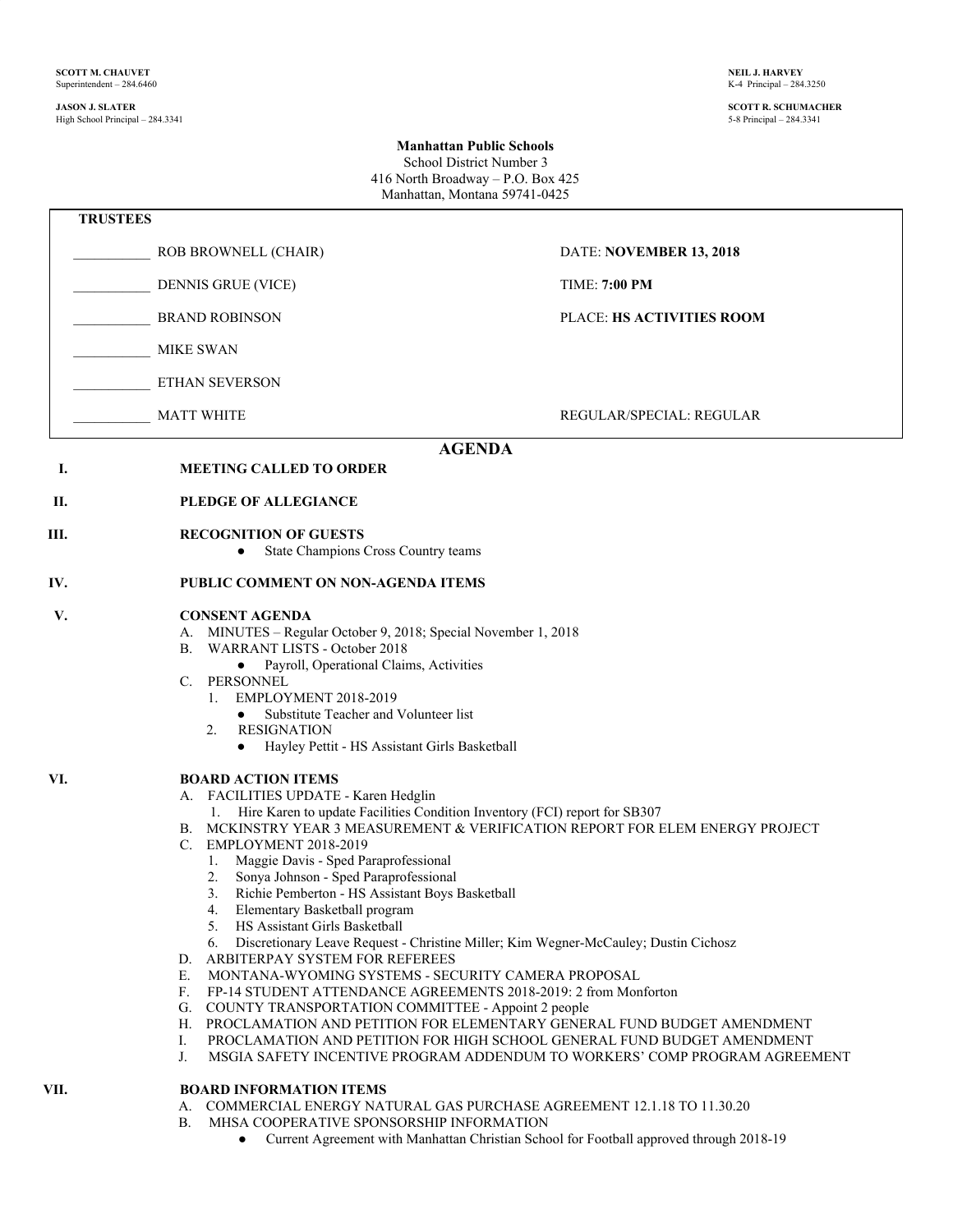#### **JASON J. SLATER SCOTT R. SCHUMACHER** High School Principal – 284.3341

### **Manhattan Public Schools** School District Number 3 416 North Broadway – P.O. Box 425

Manhattan, Montana 59741-0425  **TRUSTEES** \_\_\_\_\_\_\_\_\_\_\_ ROB BROWNELL (CHAIR) DATE: **NOVEMBER 13, 2018** \_\_\_\_\_\_\_\_\_\_\_ DENNIS GRUE (VICE) TIME: **7:00 PM** \_\_\_\_\_\_\_\_\_\_\_ BRAND ROBINSON PLACE: **HS ACTIVITIES ROOM** \_\_\_\_\_\_\_\_\_\_\_ MIKE SWAN \_\_\_\_\_\_\_\_\_\_\_ ETHAN SEVERSON MATT WHITE THE REGULAR/SPECIAL: REGULAR **AGENDA I. MEETING CALLED TO ORDER II. PLEDGE OF ALLEGIANCE III. RECOGNITION OF GUESTS** ● State Champions Cross Country teams **IV. PUBLIC COMMENT ON NON-AGENDA ITEMS V. CONSENT AGENDA** A. MINUTES – Regular October 9, 2018; Special November 1, 2018 B. WARRANT LISTS - October 2018 ● Payroll, Operational Claims, Activities C. PERSONNEL 1. EMPLOYMENT 2018-2019 Substitute Teacher and Volunteer list 2. RESIGNATION ● Hayley Pettit - HS Assistant Girls Basketball **VI. BOARD ACTION ITEMS** A. FACILITIES UPDATE - Karen Hedglin 1. Hire Karen to update Facilities Condition Inventory (FCI) report for SB307 B. MCKINSTRY YEAR 3 MEASUREMENT & VERIFICATION REPORT FOR ELEM ENERGY PROJECT C. EMPLOYMENT 2018-2019 1. Maggie Davis - Sped Paraprofessional 2. Sonya Johnson - Sped Paraprofessional 3. Richie Pemberton - HS Assistant Boys Basketball 4. Elementary Basketball program 5. HS Assistant Girls Basketball 6. Discretionary Leave Request - Christine Miller; Kim Wegner-McCauley; Dustin Cichosz D. ARBITERPAY SYSTEM FOR REFEREES E. MONTANA-WYOMING SYSTEMS - SECURITY CAMERA PROPOSAL F. FP-14 STUDENT ATTENDANCE AGREEMENTS 2018-2019: 2 from Mon FP-14 STUDENT ATTENDANCE AGREEMENTS 2018-2019: 2 from Monforton G. COUNTY TRANSPORTATION COMMITTEE - Appoint 2 people H. PROCLAMATION AND PETITION FOR ELEMENTARY GENERAL FUND BUDGET AMENDMENT I. PROCLAMATION AND PETITION FOR HIGH SCHOOL GENERAL FUND BUDGET AMENDMENT J. MSGIA SAFETY INCENTIVE PROGRAM ADDENDUM TO WORKERS' COMP PROGRAM AGREEMENT

### **VII. BOARD INFORMATION ITEMS**

- A. COMMERCIAL ENERGY NATURAL GAS PURCHASE AGREEMENT 12.1.18 TO 11.30.20
- B. MHSA COOPERATIVE SPONSORSHIP INFORMATION
	- Current Agreement with Manhattan Christian School for Football approved through 2018-19